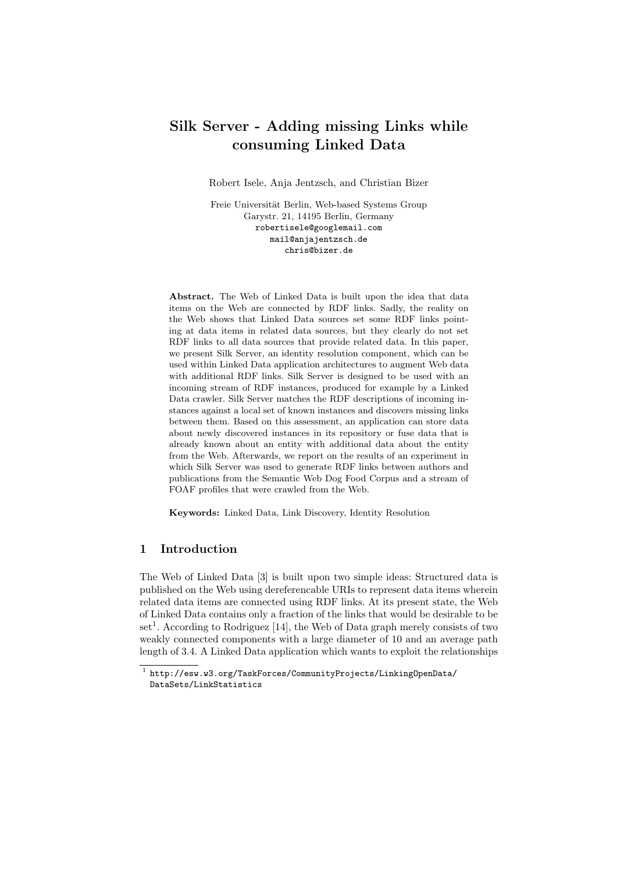# Silk Server - Adding missing Links while consuming Linked Data

Robert Isele, Anja Jentzsch, and Christian Bizer

Freie Universität Berlin, Web-based Systems Group Garystr. 21, 14195 Berlin, Germany robertisele@googlemail.com mail@anjajentzsch.de chris@bizer.de

Abstract. The Web of Linked Data is built upon the idea that data items on the Web are connected by RDF links. Sadly, the reality on the Web shows that Linked Data sources set some RDF links pointing at data items in related data sources, but they clearly do not set RDF links to all data sources that provide related data. In this paper, we present Silk Server, an identity resolution component, which can be used within Linked Data application architectures to augment Web data with additional RDF links. Silk Server is designed to be used with an incoming stream of RDF instances, produced for example by a Linked Data crawler. Silk Server matches the RDF descriptions of incoming instances against a local set of known instances and discovers missing links between them. Based on this assessment, an application can store data about newly discovered instances in its repository or fuse data that is already known about an entity with additional data about the entity from the Web. Afterwards, we report on the results of an experiment in which Silk Server was used to generate RDF links between authors and publications from the Semantic Web Dog Food Corpus and a stream of FOAF profiles that were crawled from the Web.

Keywords: Linked Data, Link Discovery, Identity Resolution

# 1 Introduction

The Web of Linked Data [3] is built upon two simple ideas: Structured data is published on the Web using dereferencable URIs to represent data items wherein related data items are connected using RDF links. At its present state, the Web of Linked Data contains only a fraction of the links that would be desirable to be set<sup>1</sup>. According to Rodriguez [14], the Web of Data graph merely consists of two weakly connected components with a large diameter of 10 and an average path length of 3.4. A Linked Data application which wants to exploit the relationships

 $^{\rm 1}$  http://esw.w3.org/TaskForces/CommunityProjects/LinkingOpenData/ DataSets/LinkStatistics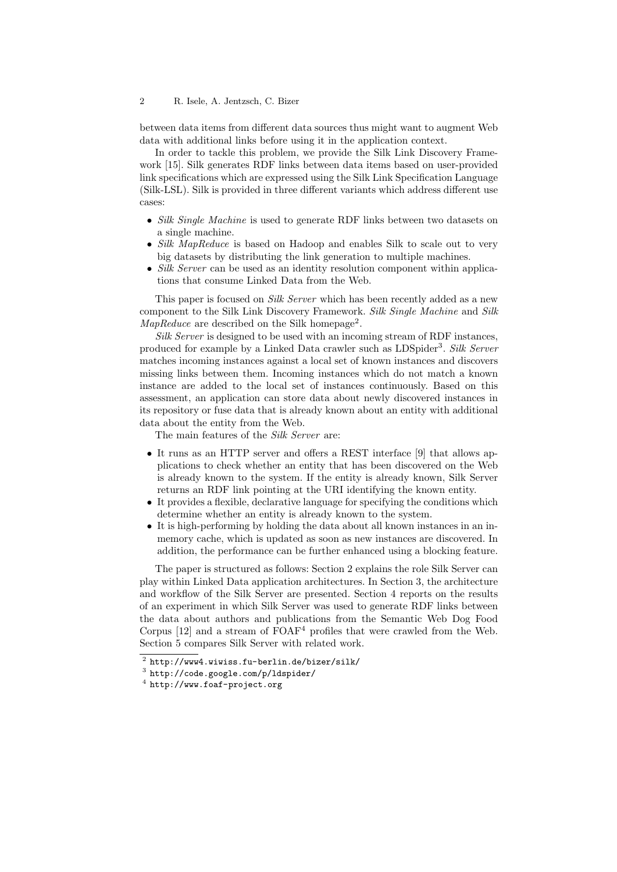### 2 R. Isele, A. Jentzsch, C. Bizer

between data items from different data sources thus might want to augment Web data with additional links before using it in the application context.

In order to tackle this problem, we provide the Silk Link Discovery Framework [15]. Silk generates RDF links between data items based on user-provided link specifications which are expressed using the Silk Link Specification Language (Silk-LSL). Silk is provided in three different variants which address different use cases:

- Silk Single Machine is used to generate RDF links between two datasets on a single machine.
- Silk MapReduce is based on Hadoop and enables Silk to scale out to very big datasets by distributing the link generation to multiple machines.
- Silk Server can be used as an identity resolution component within applications that consume Linked Data from the Web.

This paper is focused on *Silk Server* which has been recently added as a new component to the Silk Link Discovery Framework. Silk Single Machine and Silk  $MapReduce$  are described on the Silk homepage<sup>2</sup>.

Silk Server is designed to be used with an incoming stream of RDF instances, produced for example by a Linked Data crawler such as LDSpider<sup>3</sup>. Silk Server matches incoming instances against a local set of known instances and discovers missing links between them. Incoming instances which do not match a known instance are added to the local set of instances continuously. Based on this assessment, an application can store data about newly discovered instances in its repository or fuse data that is already known about an entity with additional data about the entity from the Web.

The main features of the Silk Server are:

- It runs as an HTTP server and offers a REST interface [9] that allows applications to check whether an entity that has been discovered on the Web is already known to the system. If the entity is already known, Silk Server returns an RDF link pointing at the URI identifying the known entity.
- It provides a flexible, declarative language for specifying the conditions which determine whether an entity is already known to the system.
- It is high-performing by holding the data about all known instances in an inmemory cache, which is updated as soon as new instances are discovered. In addition, the performance can be further enhanced using a blocking feature.

The paper is structured as follows: Section 2 explains the role Silk Server can play within Linked Data application architectures. In Section 3, the architecture and workflow of the Silk Server are presented. Section 4 reports on the results of an experiment in which Silk Server was used to generate RDF links between the data about authors and publications from the Semantic Web Dog Food Corpus  $[12]$  and a stream of  $FOAF<sup>4</sup>$  profiles that were crawled from the Web. Section 5 compares Silk Server with related work.

 $^2$  http://www4.wiwiss.fu-berlin.de/bizer/silk/

 $^3$  http://code.google.com/p/ldspider/

 $^4$  http://www.foaf-project.org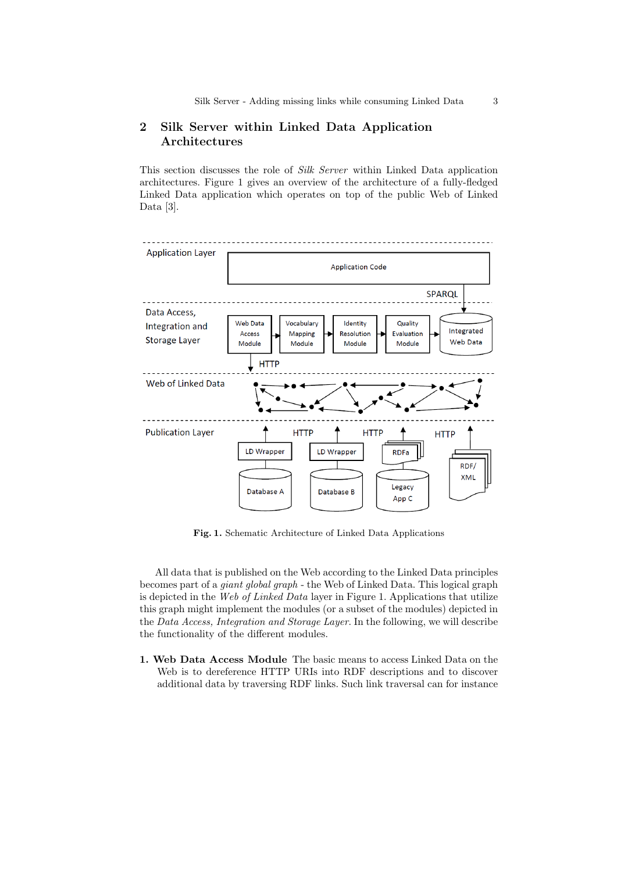# 2 Silk Server within Linked Data Application Architectures

This section discusses the role of Silk Server within Linked Data application architectures. Figure 1 gives an overview of the architecture of a fully-fledged Linked Data application which operates on top of the public Web of Linked Data [3].



Fig. 1. Schematic Architecture of Linked Data Applications

All data that is published on the Web according to the Linked Data principles becomes part of a giant global graph - the Web of Linked Data. This logical graph is depicted in the Web of Linked Data layer in Figure 1. Applications that utilize this graph might implement the modules (or a subset of the modules) depicted in the Data Access, Integration and Storage Layer. In the following, we will describe the functionality of the different modules.

1. Web Data Access Module The basic means to access Linked Data on the Web is to dereference HTTP URIs into RDF descriptions and to discover additional data by traversing RDF links. Such link traversal can for instance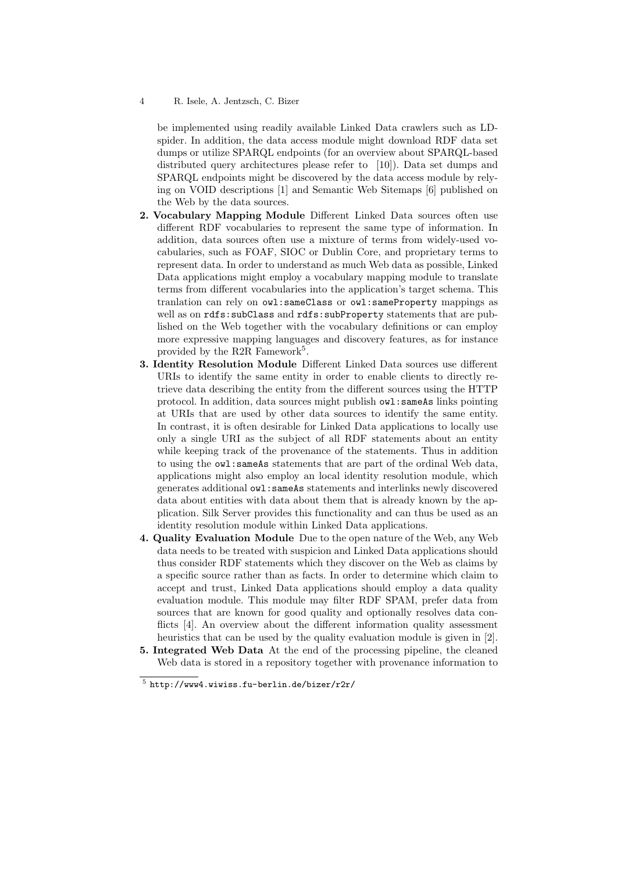### 4 R. Isele, A. Jentzsch, C. Bizer

be implemented using readily available Linked Data crawlers such as LDspider. In addition, the data access module might download RDF data set dumps or utilize SPARQL endpoints (for an overview about SPARQL-based distributed query architectures please refer to [10]). Data set dumps and SPARQL endpoints might be discovered by the data access module by relying on VOID descriptions [1] and Semantic Web Sitemaps [6] published on the Web by the data sources.

- 2. Vocabulary Mapping Module Different Linked Data sources often use different RDF vocabularies to represent the same type of information. In addition, data sources often use a mixture of terms from widely-used vocabularies, such as FOAF, SIOC or Dublin Core, and proprietary terms to represent data. In order to understand as much Web data as possible, Linked Data applications might employ a vocabulary mapping module to translate terms from different vocabularies into the application's target schema. This tranlation can rely on owl:sameClass or owl:sameProperty mappings as well as on rdfs: subClass and rdfs: subProperty statements that are published on the Web together with the vocabulary definitions or can employ more expressive mapping languages and discovery features, as for instance provided by the R2R Famework<sup>5</sup>.
- 3. Identity Resolution Module Different Linked Data sources use different URIs to identify the same entity in order to enable clients to directly retrieve data describing the entity from the different sources using the HTTP protocol. In addition, data sources might publish owl:sameAs links pointing at URIs that are used by other data sources to identify the same entity. In contrast, it is often desirable for Linked Data applications to locally use only a single URI as the subject of all RDF statements about an entity while keeping track of the provenance of the statements. Thus in addition to using the owl:sameAs statements that are part of the ordinal Web data, applications might also employ an local identity resolution module, which generates additional owl:sameAs statements and interlinks newly discovered data about entities with data about them that is already known by the application. Silk Server provides this functionality and can thus be used as an identity resolution module within Linked Data applications.
- 4. Quality Evaluation Module Due to the open nature of the Web, any Web data needs to be treated with suspicion and Linked Data applications should thus consider RDF statements which they discover on the Web as claims by a specific source rather than as facts. In order to determine which claim to accept and trust, Linked Data applications should employ a data quality evaluation module. This module may filter RDF SPAM, prefer data from sources that are known for good quality and optionally resolves data conflicts [4]. An overview about the different information quality assessment heuristics that can be used by the quality evaluation module is given in [2].
- 5. Integrated Web Data At the end of the processing pipeline, the cleaned Web data is stored in a repository together with provenance information to

 $5$  http://www4.wiwiss.fu-berlin.de/bizer/r2r/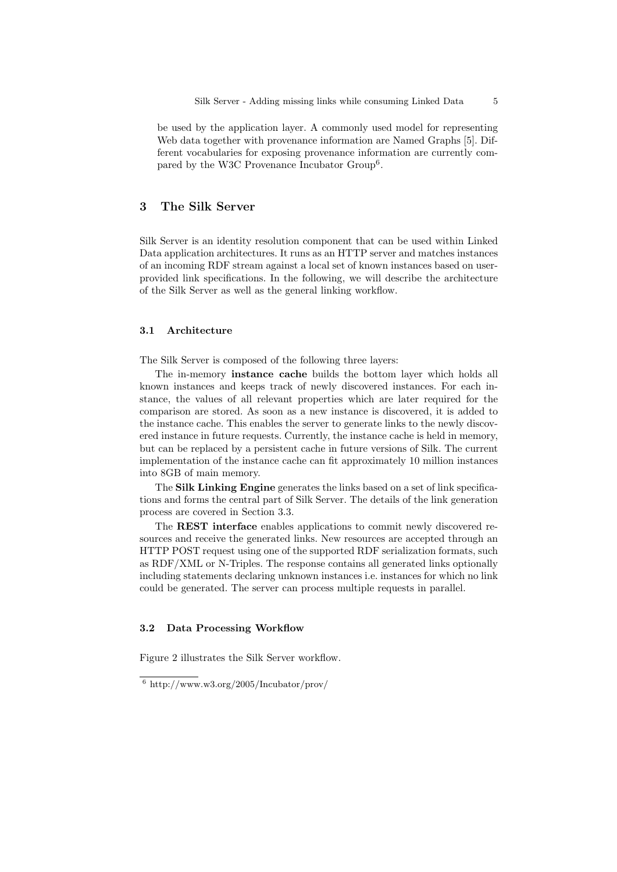be used by the application layer. A commonly used model for representing Web data together with provenance information are Named Graphs [5]. Different vocabularies for exposing provenance information are currently compared by the W3C Provenance Incubator Group<sup>6</sup>.

# 3 The Silk Server

Silk Server is an identity resolution component that can be used within Linked Data application architectures. It runs as an HTTP server and matches instances of an incoming RDF stream against a local set of known instances based on userprovided link specifications. In the following, we will describe the architecture of the Silk Server as well as the general linking workflow.

#### 3.1 Architecture

The Silk Server is composed of the following three layers:

The in-memory instance cache builds the bottom layer which holds all known instances and keeps track of newly discovered instances. For each instance, the values of all relevant properties which are later required for the comparison are stored. As soon as a new instance is discovered, it is added to the instance cache. This enables the server to generate links to the newly discovered instance in future requests. Currently, the instance cache is held in memory, but can be replaced by a persistent cache in future versions of Silk. The current implementation of the instance cache can fit approximately 10 million instances into 8GB of main memory.

The Silk Linking Engine generates the links based on a set of link specifications and forms the central part of Silk Server. The details of the link generation process are covered in Section 3.3.

The REST interface enables applications to commit newly discovered resources and receive the generated links. New resources are accepted through an HTTP POST request using one of the supported RDF serialization formats, such as RDF/XML or N-Triples. The response contains all generated links optionally including statements declaring unknown instances i.e. instances for which no link could be generated. The server can process multiple requests in parallel.

# 3.2 Data Processing Workflow

Figure 2 illustrates the Silk Server workflow.

 $6 \text{ http://www.w3.org/2005/Incubator/prov/}$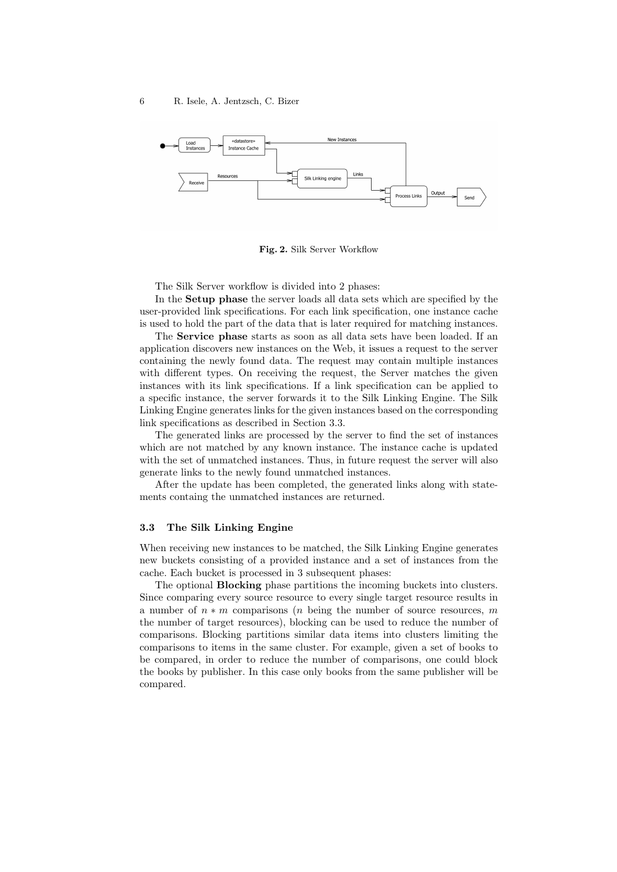

Fig. 2. Silk Server Workflow

The Silk Server workflow is divided into 2 phases:

In the Setup phase the server loads all data sets which are specified by the user-provided link specifications. For each link specification, one instance cache is used to hold the part of the data that is later required for matching instances.

The Service phase starts as soon as all data sets have been loaded. If an application discovers new instances on the Web, it issues a request to the server containing the newly found data. The request may contain multiple instances with different types. On receiving the request, the Server matches the given instances with its link specifications. If a link specification can be applied to a specific instance, the server forwards it to the Silk Linking Engine. The Silk Linking Engine generates links for the given instances based on the corresponding link specifications as described in Section 3.3.

The generated links are processed by the server to find the set of instances which are not matched by any known instance. The instance cache is updated with the set of unmatched instances. Thus, in future request the server will also generate links to the newly found unmatched instances.

After the update has been completed, the generated links along with statements containg the unmatched instances are returned.

### 3.3 The Silk Linking Engine

When receiving new instances to be matched, the Silk Linking Engine generates new buckets consisting of a provided instance and a set of instances from the cache. Each bucket is processed in 3 subsequent phases:

The optional Blocking phase partitions the incoming buckets into clusters. Since comparing every source resource to every single target resource results in a number of  $n * m$  comparisons (*n* being the number of source resources, *m* the number of target resources), blocking can be used to reduce the number of comparisons. Blocking partitions similar data items into clusters limiting the comparisons to items in the same cluster. For example, given a set of books to be compared, in order to reduce the number of comparisons, one could block the books by publisher. In this case only books from the same publisher will be compared.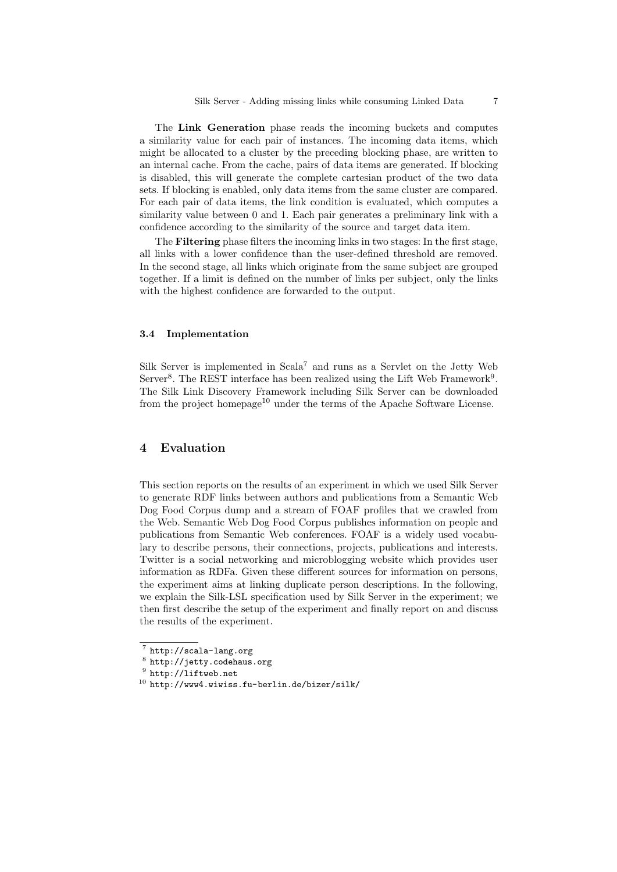The Link Generation phase reads the incoming buckets and computes a similarity value for each pair of instances. The incoming data items, which might be allocated to a cluster by the preceding blocking phase, are written to an internal cache. From the cache, pairs of data items are generated. If blocking is disabled, this will generate the complete cartesian product of the two data sets. If blocking is enabled, only data items from the same cluster are compared. For each pair of data items, the link condition is evaluated, which computes a similarity value between 0 and 1. Each pair generates a preliminary link with a confidence according to the similarity of the source and target data item.

The Filtering phase filters the incoming links in two stages: In the first stage, all links with a lower confidence than the user-defined threshold are removed. In the second stage, all links which originate from the same subject are grouped together. If a limit is defined on the number of links per subject, only the links with the highest confidence are forwarded to the output.

## 3.4 Implementation

Silk Server is implemented in  $Scala<sup>7</sup>$  and runs as a Servlet on the Jetty Web Server<sup>8</sup>. The REST interface has been realized using the Lift Web Framework<sup>9</sup>. The Silk Link Discovery Framework including Silk Server can be downloaded from the project homepage<sup>10</sup> under the terms of the Apache Software License.

# 4 Evaluation

This section reports on the results of an experiment in which we used Silk Server to generate RDF links between authors and publications from a Semantic Web Dog Food Corpus dump and a stream of FOAF profiles that we crawled from the Web. Semantic Web Dog Food Corpus publishes information on people and publications from Semantic Web conferences. FOAF is a widely used vocabulary to describe persons, their connections, projects, publications and interests. Twitter is a social networking and microblogging website which provides user information as RDFa. Given these different sources for information on persons, the experiment aims at linking duplicate person descriptions. In the following, we explain the Silk-LSL specification used by Silk Server in the experiment; we then first describe the setup of the experiment and finally report on and discuss the results of the experiment.

<sup>7</sup> http://scala-lang.org

 $^8$  http://jetty.codehaus.org

 $^9$  http://liftweb.net

 $10$  http://www4.wiwiss.fu-berlin.de/bizer/silk/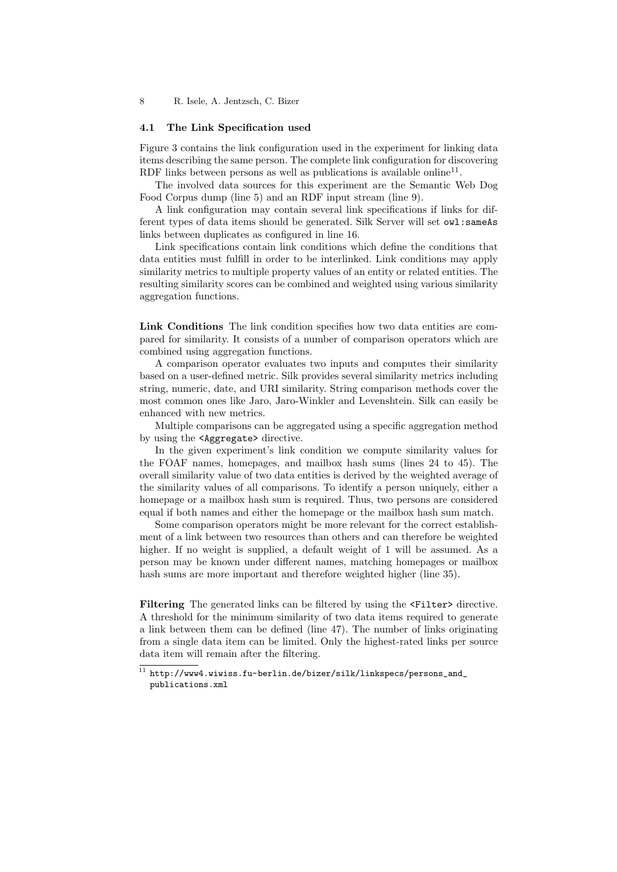### 4.1 The Link Specification used

Figure 3 contains the link configuration used in the experiment for linking data items describing the same person. The complete link configuration for discovering RDF links between persons as well as publications is available online<sup>11</sup>.

The involved data sources for this experiment are the Semantic Web Dog Food Corpus dump (line 5) and an RDF input stream (line 9).

A link configuration may contain several link specifications if links for different types of data items should be generated. Silk Server will set owl:sameAs links between duplicates as configured in line 16.

Link specifications contain link conditions which define the conditions that data entities must fulfill in order to be interlinked. Link conditions may apply similarity metrics to multiple property values of an entity or related entities. The resulting similarity scores can be combined and weighted using various similarity aggregation functions.

Link Conditions The link condition specifies how two data entities are compared for similarity. It consists of a number of comparison operators which are combined using aggregation functions.

A comparison operator evaluates two inputs and computes their similarity based on a user-defined metric. Silk provides several similarity metrics including string, numeric, date, and URI similarity. String comparison methods cover the most common ones like Jaro, Jaro-Winkler and Levenshtein. Silk can easily be enhanced with new metrics.

Multiple comparisons can be aggregated using a specific aggregation method by using the <Aggregate> directive.

In the given experiment's link condition we compute similarity values for the FOAF names, homepages, and mailbox hash sums (lines 24 to 45). The overall similarity value of two data entities is derived by the weighted average of the similarity values of all comparisons. To identify a person uniquely, either a homepage or a mailbox hash sum is required. Thus, two persons are considered equal if both names and either the homepage or the mailbox hash sum match.

Some comparison operators might be more relevant for the correct establishment of a link between two resources than others and can therefore be weighted higher. If no weight is supplied, a default weight of 1 will be assumed. As a person may be known under different names, matching homepages or mailbox hash sums are more important and therefore weighted higher (line 35).

Filtering The generated links can be filtered by using the  $\epsilon$ Filter> directive. A threshold for the minimum similarity of two data items required to generate a link between them can be defined (line 47). The number of links originating from a single data item can be limited. Only the highest-rated links per source data item will remain after the filtering.

 $^{11}$ http://www4.wiwiss.fu-berlin.de/bizer/silk/linkspecs/persons\_and\_ publications.xml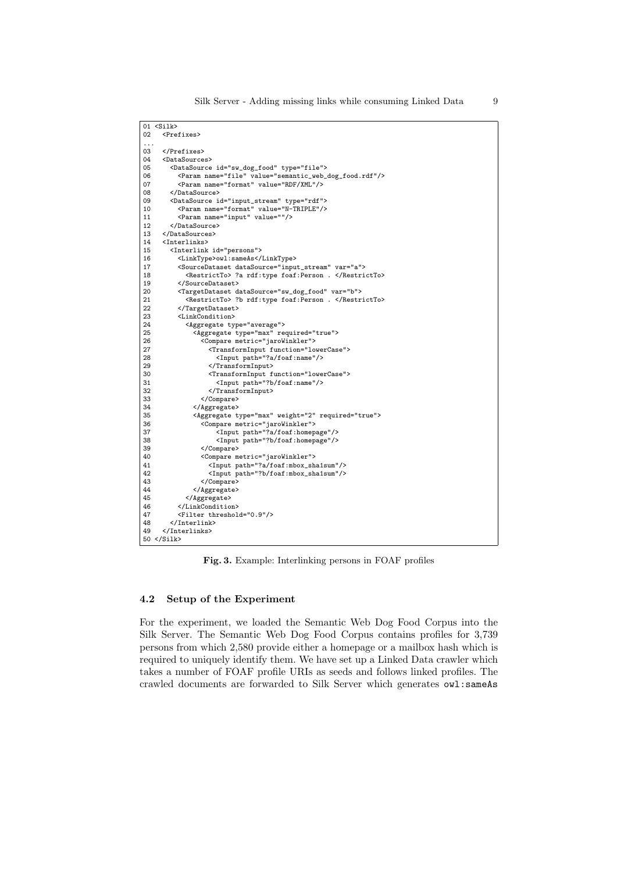|          | 01 <silk></silk>                                                  |
|----------|-------------------------------------------------------------------|
| 02       | <prefixes></prefixes>                                             |
| $\cdots$ |                                                                   |
| 03       |                                                                   |
| 04       | <datasources></datasources>                                       |
| 05       | <datasource id="sw_dog_food" type="file"></datasource>            |
| 06       | <param name="file" value="semantic_web_dog_food.rdf"/>            |
| 07       | <param name="format" value="RDF/XML"/>                            |
| 08       |                                                                   |
| 09       | <datasource id="input_stream" type="rdf"></datasource>            |
| 10       | <param name="format" value="N-TRIPLE"/>                           |
| 11       | <param name="input" value=""/>                                    |
| 12       |                                                                   |
| 13       |                                                                   |
| 14       | <interlinks></interlinks>                                         |
| 15       | <interlink id="persons"></interlink>                              |
| 16       | <linktype>owl:sameAs</linktype>                                   |
| 17       | <sourcedataset datasource="input_stream" var="a"></sourcedataset> |
| 18       | <restrictto> ?a rdf:type foaf:Person . </restrictto>              |
| 19       |                                                                   |
| 20       | <targetdataset datasource="sw_dog_food" var="b"></targetdataset>  |
| 21       | <restrictto> ?b rdf:type foaf:Person . </restrictto>              |
| 22       |                                                                   |
| 23       | <linkcondition></linkcondition>                                   |
| 24       | <aggregate type="average"></aggregate>                            |
| 25       | <aggregate required="true" type="max"></aggregate>                |
| 26       | <compare metric="jaroWinkler"></compare>                          |
| 27       | <transforminput function="lowerCase"></transforminput>            |
| 28       | <input path="?a/foaf:name"/>                                      |
| 29       |                                                                   |
| 30       | <transforminput function="lowerCase"></transforminput>            |
| 31       | <input path="?b/foaf:name"/>                                      |
| 32       |                                                                   |
| 33       |                                                                   |
| 34       |                                                                   |
| 35       | <aggregate required="true" type="max" weight="2"></aggregate>     |
| 36       | <compare metric="jaroWinkler"></compare>                          |
| 37       | <input path="?a/foaf:homepage"/>                                  |
| 38       | <input path="?b/foaf:homepage"/>                                  |
| 39       |                                                                   |
| 40       | <compare metric="jaroWinkler"></compare>                          |
| 41       | <input path="?a/foaf:mbox_sha1sum"/>                              |
| 42       | <input path="?b/foaf:mbox_sha1sum"/>                              |
| 43       |                                                                   |
| 44       |                                                                   |
| 45       |                                                                   |
| 46       |                                                                   |
| 47       | <filter threshold="0.9"></filter>                                 |
| 48       |                                                                   |
| 49       |                                                                   |
|          | $50 \leq$ Silk>                                                   |

Fig. 3. Example: Interlinking persons in FOAF profiles

# 4.2 Setup of the Experiment

For the experiment, we loaded the Semantic Web Dog Food Corpus into the Silk Server. The Semantic Web Dog Food Corpus contains profiles for 3,739 persons from which 2,580 provide either a homepage or a mailbox hash which is required to uniquely identify them. We have set up a Linked Data crawler which takes a number of FOAF profile URIs as seeds and follows linked profiles. The crawled documents are forwarded to Silk Server which generates owl:sameAs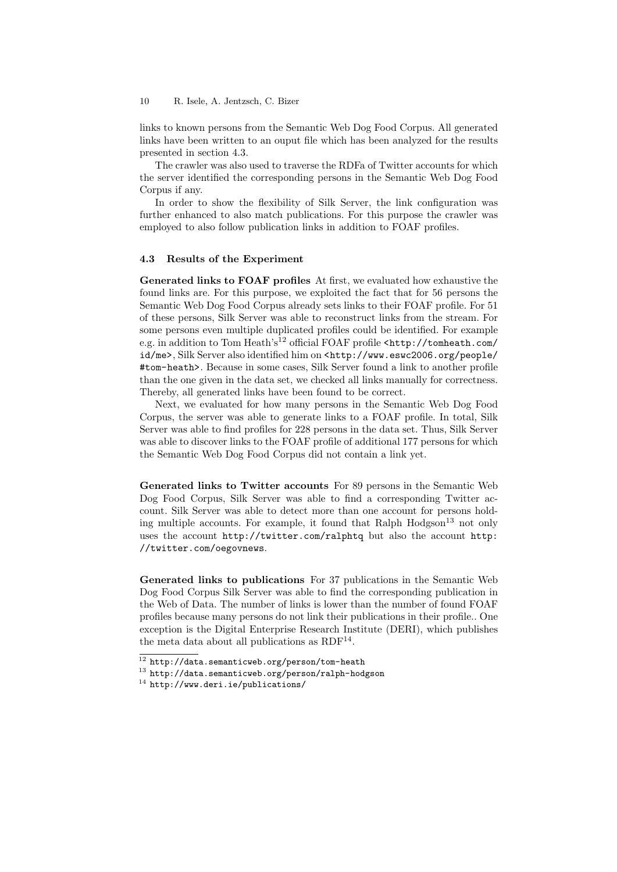### 10 R. Isele, A. Jentzsch, C. Bizer

links to known persons from the Semantic Web Dog Food Corpus. All generated links have been written to an ouput file which has been analyzed for the results presented in section 4.3.

The crawler was also used to traverse the RDFa of Twitter accounts for which the server identified the corresponding persons in the Semantic Web Dog Food Corpus if any.

In order to show the flexibility of Silk Server, the link configuration was further enhanced to also match publications. For this purpose the crawler was employed to also follow publication links in addition to FOAF profiles.

### 4.3 Results of the Experiment

Generated links to FOAF profiles At first, we evaluated how exhaustive the found links are. For this purpose, we exploited the fact that for 56 persons the Semantic Web Dog Food Corpus already sets links to their FOAF profile. For 51 of these persons, Silk Server was able to reconstruct links from the stream. For some persons even multiple duplicated profiles could be identified. For example e.g. in addition to Tom Heath's<sup>12</sup> official FOAF profile <http://tomheath.com/ id/me>, Silk Server also identified him on <http://www.eswc2006.org/people/ #tom-heath>. Because in some cases, Silk Server found a link to another profile than the one given in the data set, we checked all links manually for correctness. Thereby, all generated links have been found to be correct.

Next, we evaluated for how many persons in the Semantic Web Dog Food Corpus, the server was able to generate links to a FOAF profile. In total, Silk Server was able to find profiles for 228 persons in the data set. Thus, Silk Server was able to discover links to the FOAF profile of additional 177 persons for which the Semantic Web Dog Food Corpus did not contain a link yet.

Generated links to Twitter accounts For 89 persons in the Semantic Web Dog Food Corpus, Silk Server was able to find a corresponding Twitter account. Silk Server was able to detect more than one account for persons holding multiple accounts. For example, it found that Ralph  $Hodgeson<sup>13</sup>$  not only uses the account http://twitter.com/ralphtq but also the account http: //twitter.com/oegovnews.

Generated links to publications For 37 publications in the Semantic Web Dog Food Corpus Silk Server was able to find the corresponding publication in the Web of Data. The number of links is lower than the number of found FOAF profiles because many persons do not link their publications in their profile.. One exception is the Digital Enterprise Research Institute (DERI), which publishes the meta data about all publications as RDF<sup>14</sup>.

 $\frac{12 \text{ http://data.semanticweb.org/person/tom-health}}{12}$ 

<sup>13</sup> http://data.semanticweb.org/person/ralph-hodgson

<sup>14</sup> http://www.deri.ie/publications/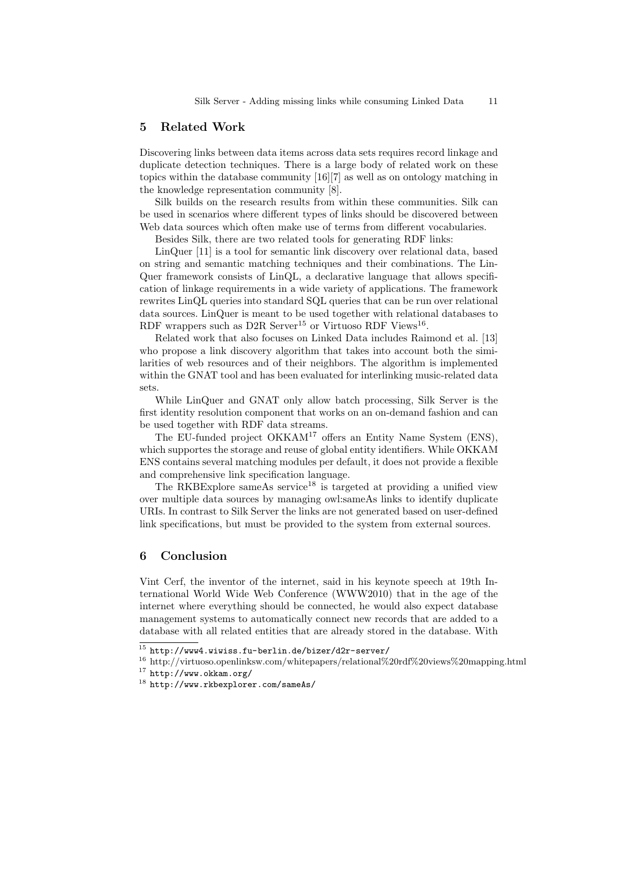# 5 Related Work

Discovering links between data items across data sets requires record linkage and duplicate detection techniques. There is a large body of related work on these topics within the database community [16][7] as well as on ontology matching in the knowledge representation community [8].

Silk builds on the research results from within these communities. Silk can be used in scenarios where different types of links should be discovered between Web data sources which often make use of terms from different vocabularies.

Besides Silk, there are two related tools for generating RDF links:

LinQuer [11] is a tool for semantic link discovery over relational data, based on string and semantic matching techniques and their combinations. The Lin-Quer framework consists of LinQL, a declarative language that allows specification of linkage requirements in a wide variety of applications. The framework rewrites LinQL queries into standard SQL queries that can be run over relational data sources. LinQuer is meant to be used together with relational databases to RDF wrappers such as D2R Server<sup>15</sup> or Virtuoso RDF Views<sup>16</sup>.

Related work that also focuses on Linked Data includes Raimond et al. [13] who propose a link discovery algorithm that takes into account both the similarities of web resources and of their neighbors. The algorithm is implemented within the GNAT tool and has been evaluated for interlinking music-related data sets.

While LinQuer and GNAT only allow batch processing, Silk Server is the first identity resolution component that works on an on-demand fashion and can be used together with RDF data streams.

The EU-funded project OKKAM<sup>17</sup> offers an Entity Name System (ENS), which supportes the storage and reuse of global entity identifiers. While OKKAM ENS contains several matching modules per default, it does not provide a flexible and comprehensive link specification language.

The RKBExplore sameAs service<sup>18</sup> is targeted at providing a unified view over multiple data sources by managing owl:sameAs links to identify duplicate URIs. In contrast to Silk Server the links are not generated based on user-defined link specifications, but must be provided to the system from external sources.

# 6 Conclusion

Vint Cerf, the inventor of the internet, said in his keynote speech at 19th International World Wide Web Conference (WWW2010) that in the age of the internet where everything should be connected, he would also expect database management systems to automatically connect new records that are added to a database with all related entities that are already stored in the database. With

 $15$  http://www4.wiwiss.fu-berlin.de/bizer/d2r-server/

<sup>16</sup> http://virtuoso.openlinksw.com/whitepapers/relational%20rdf%20views%20mapping.html

<sup>17</sup> http://www.okkam.org/

<sup>18</sup> http://www.rkbexplorer.com/sameAs/